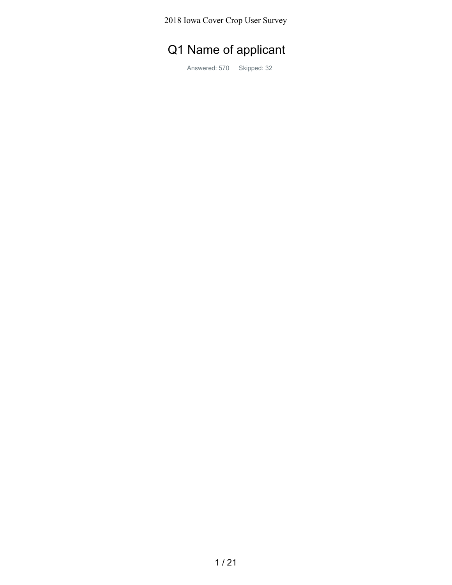2018 Iowa Cover Crop User Survey

## Q1 Name of applicant

Answered: 570 Skipped: 32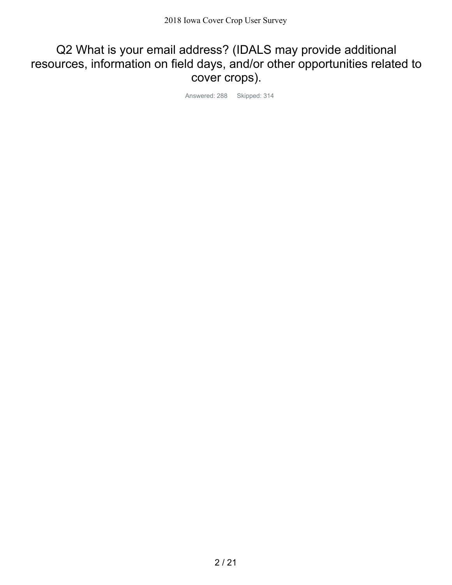## Q2 What is your email address? (IDALS may provide additional resources, information on field days, and/or other opportunities related to cover crops).

Answered: 288 Skipped: 314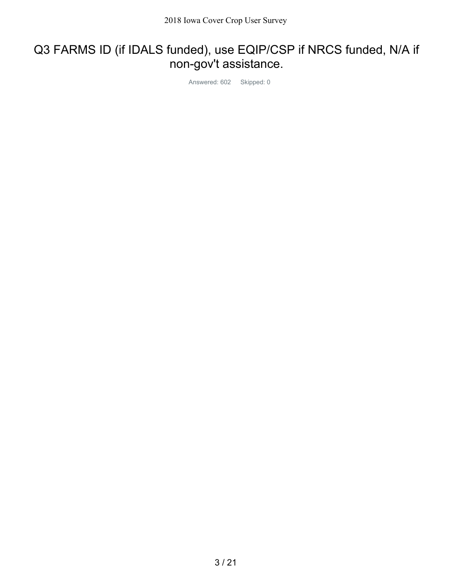## Q3 FARMS ID (if IDALS funded), use EQIP/CSP if NRCS funded, N/A if non-gov't assistance.

Answered: 602 Skipped: 0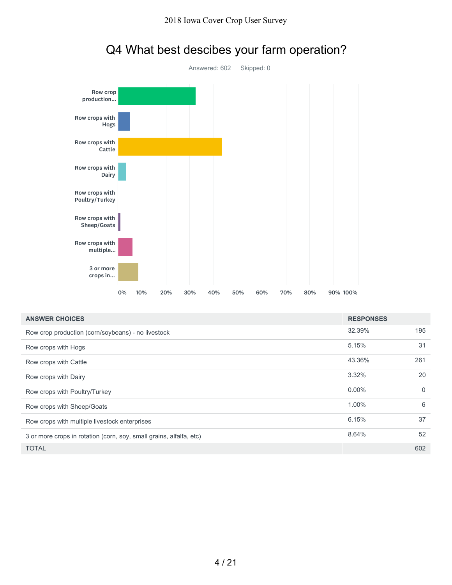

| <b>ROW Crops With</b><br>multiple                                   |           |            |     |     |     |     |     |          |                  |             |
|---------------------------------------------------------------------|-----------|------------|-----|-----|-----|-----|-----|----------|------------------|-------------|
| 3 or more<br>crops in                                               |           |            |     |     |     |     |     |          |                  |             |
|                                                                     | 0%<br>10% | 20%<br>30% | 40% | 50% | 60% | 70% | 80% | 90% 100% |                  |             |
| <b>ANSWER CHOICES</b>                                               |           |            |     |     |     |     |     |          | <b>RESPONSES</b> |             |
| Row crop production (corn/soybeans) - no livestock                  |           |            |     |     |     |     |     |          | 32.39%           | 195         |
| Row crops with Hogs                                                 |           |            |     |     |     |     |     |          | 5.15%            | 31          |
| Row crops with Cattle                                               |           |            |     |     |     |     |     |          | 43.36%           | 261         |
| Row crops with Dairy                                                |           |            |     |     |     |     |     |          | 3.32%            | 20          |
| Row crops with Poultry/Turkey                                       |           |            |     |     |     |     |     |          | $0.00\%$         | $\mathbf 0$ |
| Row crops with Sheep/Goats                                          |           |            |     |     |     |     |     |          | 1.00%            | 6           |
| Row crops with multiple livestock enterprises                       |           |            |     |     |     |     |     |          | 6.15%            | 37          |
| 3 or more crops in rotation (corn, soy, small grains, alfalfa, etc) |           |            |     |     |     |     |     |          | 8.64%            | 52          |
| <b>TOTAL</b>                                                        |           |            |     |     |     |     |     |          |                  | 602         |

## Q4 What best descibes your farm operation?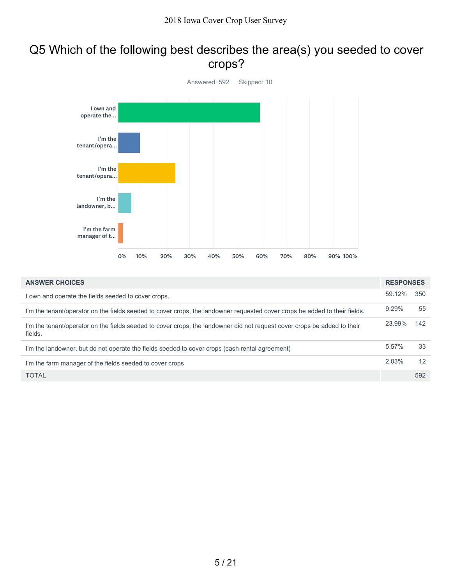## Q5 Which of the following best describes the area(s) you seeded to cover crops?



| <b>ANSWER CHOICES</b>                                                                                                               | <b>RESPONSES</b> |     |
|-------------------------------------------------------------------------------------------------------------------------------------|------------------|-----|
| I own and operate the fields seeded to cover crops.                                                                                 | 59.12%           | 350 |
| I'm the tenant/operator on the fields seeded to cover crops, the landowner requested cover crops be added to their fields.          | 9.29%            | 55  |
| I'm the tenant/operator on the fields seeded to cover crops, the landowner did not request cover crops be added to their<br>fields. | 23.99%           | 142 |
| I'm the landowner, but do not operate the fields seeded to cover crops (cash rental agreement)                                      | 5.57%            | 33  |
| I'm the farm manager of the fields seeded to cover crops                                                                            | 2.03%            | 12  |
| <b>TOTAL</b>                                                                                                                        |                  | 592 |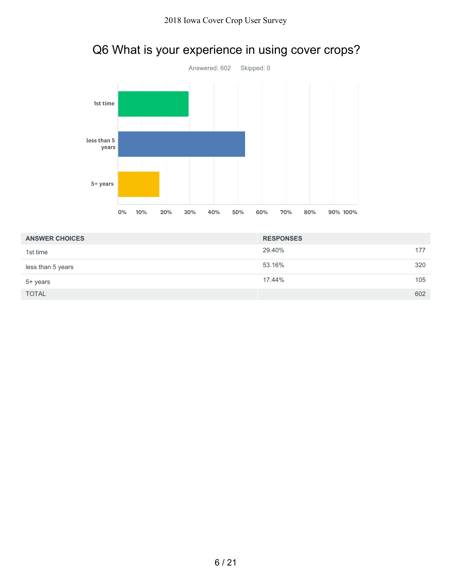

# Q6 What is your experience in using cover crops?

| <b>ANSWER CHOICES</b> | <b>RESPONSES</b> |     |
|-----------------------|------------------|-----|
| 1st time              | 29.40%           | 177 |
| less than 5 years     | 53.16%           | 320 |
| 5+ years              | 17.44%           | 105 |
| <b>TOTAL</b>          |                  | 602 |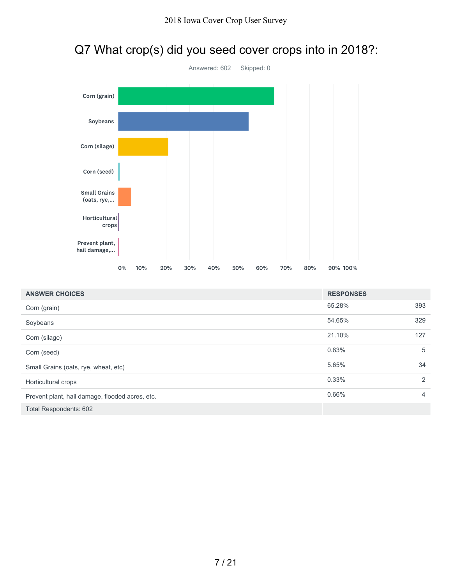

|  | Q7 What crop(s) did you seed cover crops into in 2018?: |  |
|--|---------------------------------------------------------|--|
|--|---------------------------------------------------------|--|

| <b>ANSWER CHOICES</b>                           | <b>RESPONSES</b> |     |
|-------------------------------------------------|------------------|-----|
| Corn (grain)                                    | 65.28%           | 393 |
| Soybeans                                        | 54.65%           | 329 |
| Corn (silage)                                   | 21.10%           | 127 |
| Corn (seed)                                     | 0.83%            | 5   |
| Small Grains (oats, rye, wheat, etc)            | 5.65%            | 34  |
| Horticultural crops                             | 0.33%            | 2   |
| Prevent plant, hail damage, flooded acres, etc. | 0.66%            | 4   |
| Total Respondents: 602                          |                  |     |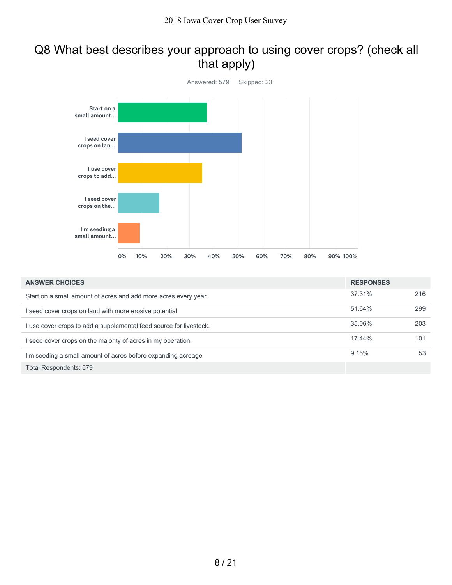## Q8 What best describes your approach to using cover crops? (check all that apply)



| <b>ANSWER CHOICES</b>                                            | <b>RESPONSES</b> |     |
|------------------------------------------------------------------|------------------|-----|
| Start on a small amount of acres and add more acres every year.  | 37.31%           | 216 |
| seed cover crops on land with more erosive potential             | 51.64%           | 299 |
| use cover crops to add a supplemental feed source for livestock. | 35.06%           | 203 |
| seed cover crops on the majority of acres in my operation.       | 17.44%           | 101 |
| I'm seeding a small amount of acres before expanding acreage     | 9.15%            | 53  |
| Total Respondents: 579                                           |                  |     |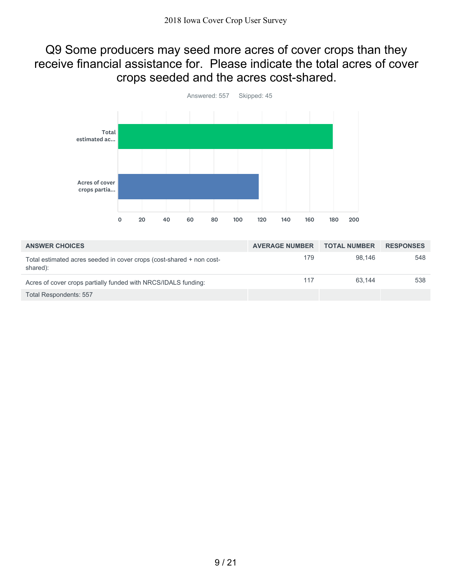#### Q9 Some producers may seed more acres of cover crops than they receive financial assistance for. Please indicate the total acres of cover crops seeded and the acres cost-shared.



| <b>ANSWER CHOICES</b>                                                            | <b>AVERAGE NUMBER</b> | <b>TOTAL NUMBER</b> | <b>RESPONSES</b> |
|----------------------------------------------------------------------------------|-----------------------|---------------------|------------------|
| Total estimated acres seeded in cover crops (cost-shared + non cost-<br>shared): | 179                   | 98.146              | 548              |
| Acres of cover crops partially funded with NRCS/IDALS funding:                   | 117                   | 63.144              | 538              |
| Total Respondents: 557                                                           |                       |                     |                  |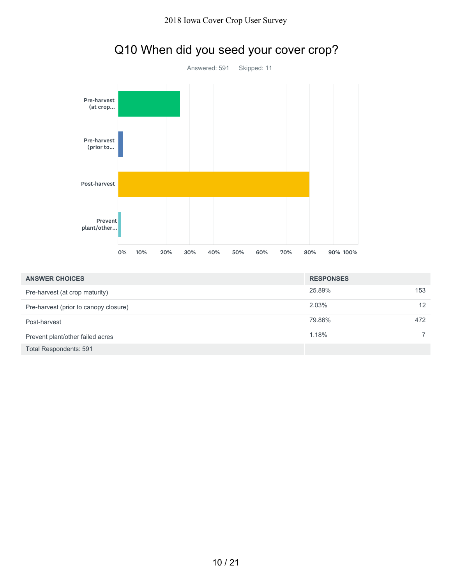

|  |  | Q10 When did you seed your cover crop? |
|--|--|----------------------------------------|
|--|--|----------------------------------------|

| <b>ANSWER CHOICES</b>                 | <b>RESPONSES</b> |     |
|---------------------------------------|------------------|-----|
| Pre-harvest (at crop maturity)        | 25.89%           | 153 |
| Pre-harvest (prior to canopy closure) | 2.03%            | 12  |
| Post-harvest                          | 79.86%           | 472 |
| Prevent plant/other failed acres      | 1.18%            |     |
| <b>Total Respondents: 591</b>         |                  |     |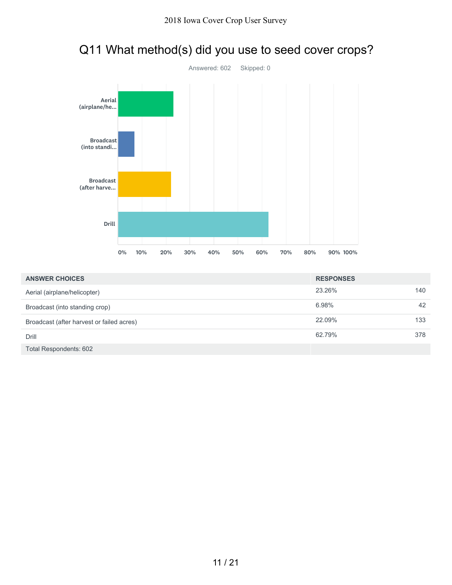

# Q11 What method(s) did you use to seed cover crops?

| <b>ANSWER CHOICES</b>                     | <b>RESPONSES</b> |     |
|-------------------------------------------|------------------|-----|
| Aerial (airplane/helicopter)              | 23.26%           | 140 |
| Broadcast (into standing crop)            | 6.98%            | 42  |
| Broadcast (after harvest or failed acres) | 22.09%           | 133 |
| Drill                                     | 62.79%           | 378 |
| Total Respondents: 602                    |                  |     |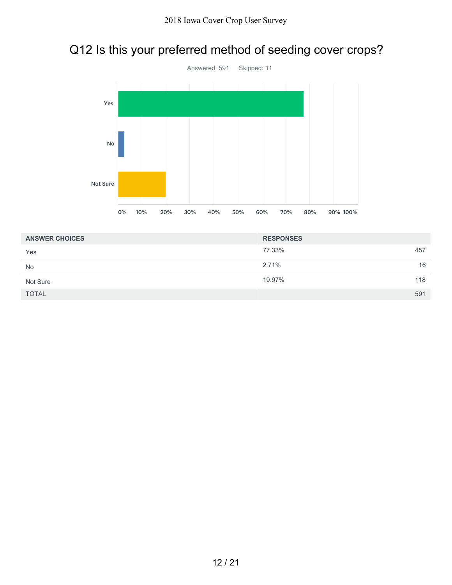## Q12 Is this your preferred method of seeding cover crops?



| <b>ANSWER CHOICES</b> | <b>RESPONSES</b> |     |
|-----------------------|------------------|-----|
| Yes                   | 77.33%           | 457 |
| <b>No</b>             | 2.71%            | 16  |
| Not Sure              | 19.97%           | 118 |
| <b>TOTAL</b>          |                  | 591 |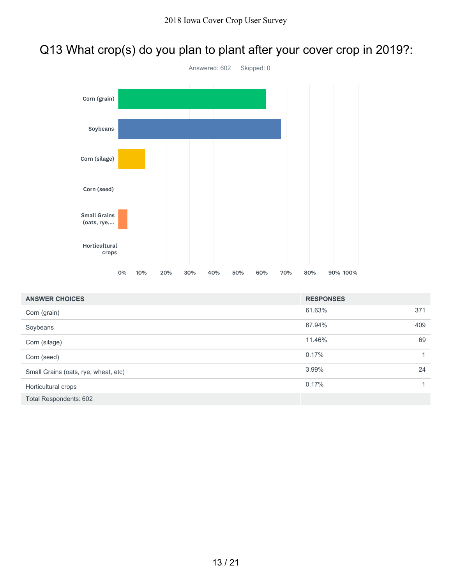## Q13 What crop(s) do you plan to plant after your cover crop in 2019?:



| <b>ANSWER CHOICES</b>                | <b>RESPONSES</b> |     |
|--------------------------------------|------------------|-----|
| Corn (grain)                         | 61.63%           | 371 |
| Soybeans                             | 67.94%           | 409 |
| Corn (silage)                        | 11.46%           | 69  |
| Corn (seed)                          | 0.17%            | 1   |
| Small Grains (oats, rye, wheat, etc) | 3.99%            | 24  |
| Horticultural crops                  | 0.17%            |     |
| <b>Total Respondents: 602</b>        |                  |     |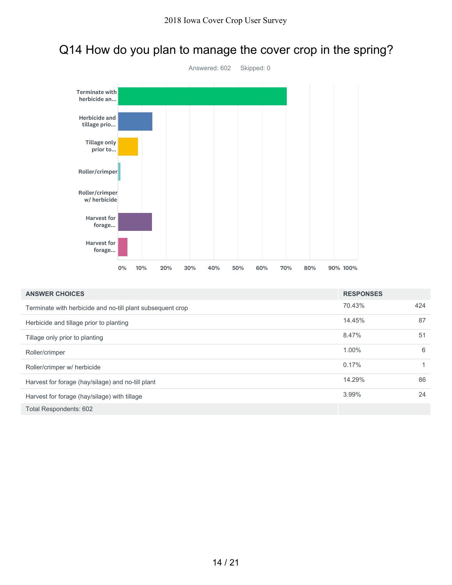## Q14 How do you plan to manage the cover crop in the spring?



| <b>ANSWER CHOICES</b>                                      | <b>RESPONSES</b> |     |
|------------------------------------------------------------|------------------|-----|
| Terminate with herbicide and no-till plant subsequent crop | 70.43%           | 424 |
| Herbicide and tillage prior to planting                    | 14.45%           | 87  |
| Tillage only prior to planting                             | 8.47%            | 51  |
| Roller/crimper                                             | 1.00%            | 6   |
| Roller/crimper w/ herbicide                                | 0.17%            |     |
| Harvest for forage (hay/silage) and no-till plant          | 14.29%           | 86  |
| Harvest for forage (hay/silage) with tillage               | 3.99%            | 24  |
| Total Respondents: 602                                     |                  |     |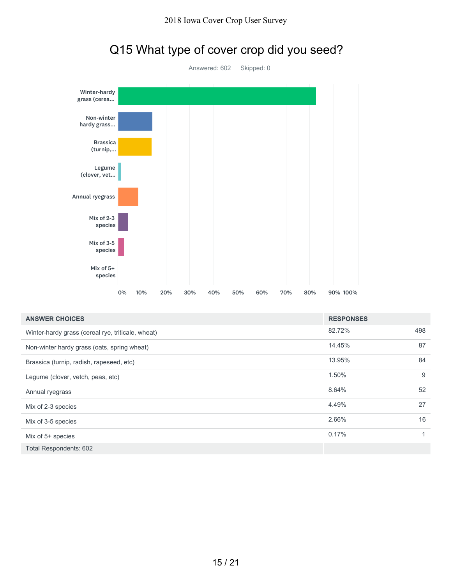

# Q15 What type of cover crop did you seed?

| <b>ANSWER CHOICES</b>                             | <b>RESPONSES</b> |     |
|---------------------------------------------------|------------------|-----|
| Winter-hardy grass (cereal rye, triticale, wheat) | 82.72%           | 498 |
| Non-winter hardy grass (oats, spring wheat)       | 14.45%           | 87  |
| Brassica (turnip, radish, rapeseed, etc)          | 13.95%           | 84  |
| Legume (clover, vetch, peas, etc)                 | 1.50%            | 9   |
| Annual ryegrass                                   | 8.64%            | 52  |
| Mix of 2-3 species                                | 4.49%            | 27  |
| Mix of 3-5 species                                | 2.66%            | 16  |
| Mix of $5+$ species                               | 0.17%            | 4   |
| Total Respondents: 602                            |                  |     |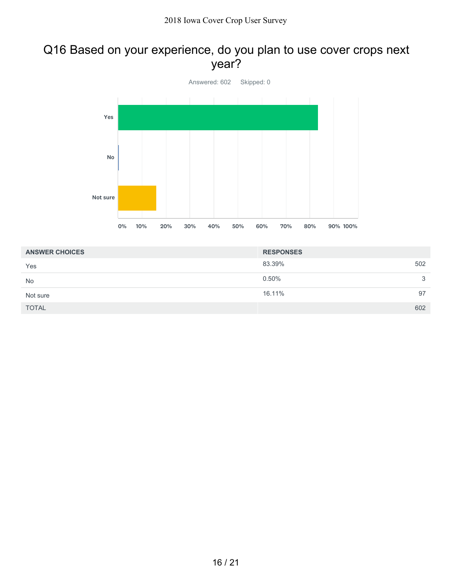## Q16 Based on your experience, do you plan to use cover crops next year?



| <b>ANSWER CHOICES</b> | <b>RESPONSES</b> |    |
|-----------------------|------------------|----|
| Yes                   | 83.39%<br>502    |    |
| <b>No</b>             | 0.50%            | 3  |
| Not sure              | 16.11%           | 97 |
| <b>TOTAL</b>          | 602              |    |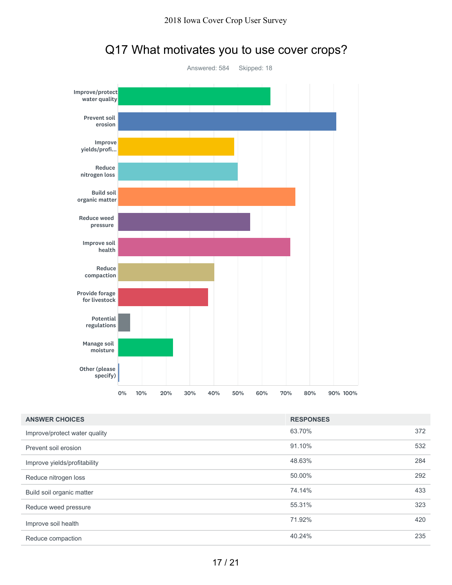

## Q17 What motivates you to use cover crops?

| <b>ANSWER CHOICES</b>         | <b>RESPONSES</b> |     |
|-------------------------------|------------------|-----|
| Improve/protect water quality | 63.70%           | 372 |
| Prevent soil erosion          | 91.10%           | 532 |
| Improve yields/profitability  | 48.63%           | 284 |
| Reduce nitrogen loss          | 50.00%           | 292 |
| Build soil organic matter     | 74.14%           | 433 |
| Reduce weed pressure          | 55.31%           | 323 |
| Improve soil health           | 71.92%           | 420 |
| Reduce compaction             | 40.24%           | 235 |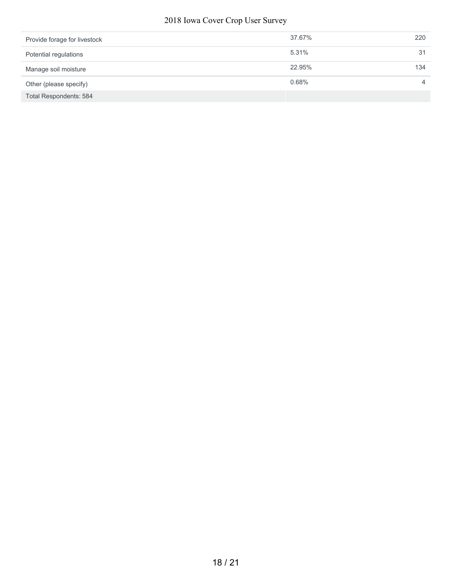#### 2018 Iowa Cover Crop User Survey

| Provide forage for livestock | 37.67% | 220 |
|------------------------------|--------|-----|
| Potential regulations        | 5.31%  | 31  |
| Manage soil moisture         | 22.95% | 134 |
| Other (please specify)       | 0.68%  |     |
| Total Respondents: 584       |        |     |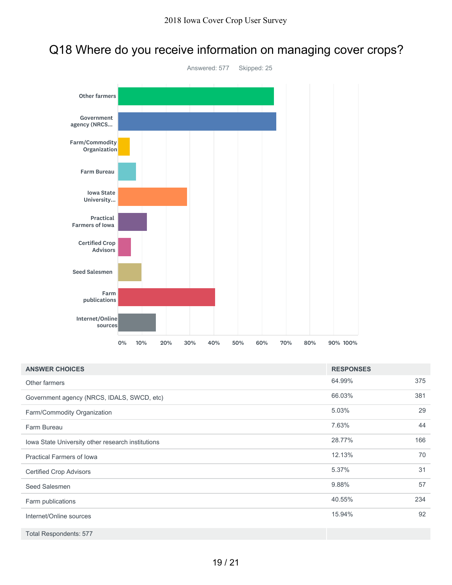## Q18 Where do you receive information on managing cover crops?



| <b>ANSWER CHOICES</b>                             | <b>RESPONSES</b> |     |
|---------------------------------------------------|------------------|-----|
| Other farmers                                     | 64.99%           | 375 |
| Government agency (NRCS, IDALS, SWCD, etc)        | 66.03%           | 381 |
| Farm/Commodity Organization                       | 5.03%            | 29  |
| Farm Bureau                                       | 7.63%            | 44  |
| Iowa State University other research institutions | 28.77%           | 166 |
| <b>Practical Farmers of lowa</b>                  | 12.13%           | 70  |
| <b>Certified Crop Advisors</b>                    | 5.37%            | 31  |
| Seed Salesmen                                     | 9.88%            | 57  |
| Farm publications                                 | 40.55%           | 234 |
| Internet/Online sources                           | 15.94%           | 92  |
| <b>Total Respondents: 577</b>                     |                  |     |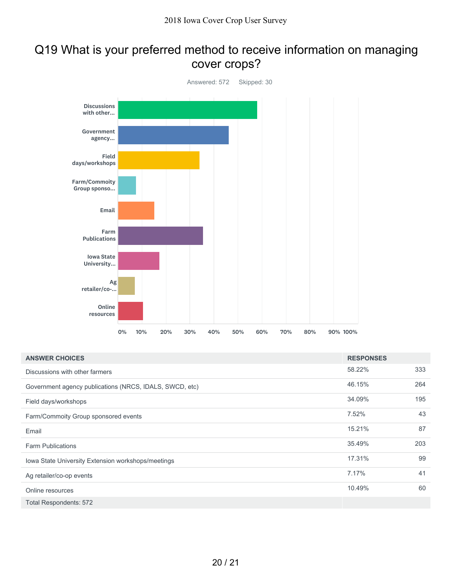#### Q19 What is your preferred method to receive information on managing cover crops?



| <b>ANSWER CHOICES</b>                                   | <b>RESPONSES</b> |     |
|---------------------------------------------------------|------------------|-----|
| Discussions with other farmers                          | 58.22%           | 333 |
| Government agency publications (NRCS, IDALS, SWCD, etc) | 46.15%           | 264 |
| Field days/workshops                                    | 34.09%           | 195 |
| Farm/Commoity Group sponsored events                    | 7.52%            | 43  |
| Email                                                   | 15.21%           | 87  |
| <b>Farm Publications</b>                                | 35.49%           | 203 |
| Iowa State University Extension workshops/meetings      | 17.31%           | 99  |
| Ag retailer/co-op events                                | 7.17%            | 41  |
| Online resources                                        | 10.49%           | 60  |
| <b>Total Respondents: 572</b>                           |                  |     |